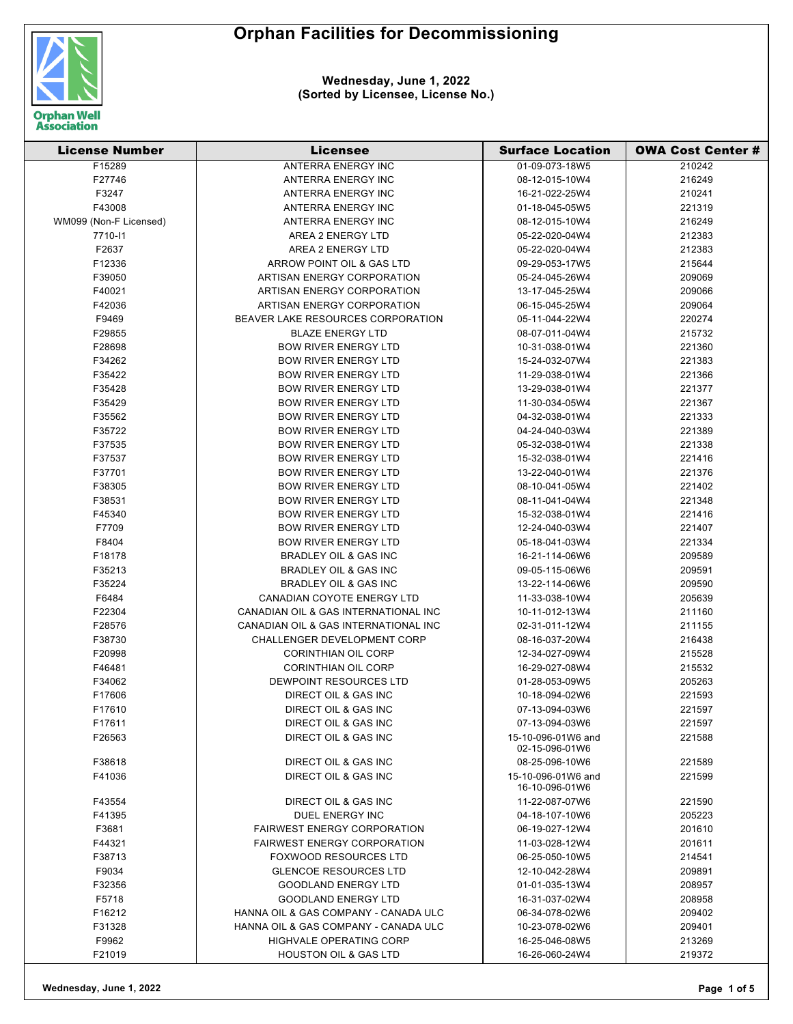



| <b>License Number</b>  | <b>Licensee</b>                      | <b>Surface Location</b>              | <b>OWA Cost Center #</b> |
|------------------------|--------------------------------------|--------------------------------------|--------------------------|
| F15289                 | <b>ANTERRA ENERGY INC</b>            | 01-09-073-18W5                       | 210242                   |
| F27746                 | ANTERRA ENERGY INC                   | 08-12-015-10W4                       | 216249                   |
| F3247                  | ANTERRA ENERGY INC                   | 16-21-022-25W4                       | 210241                   |
| F43008                 | ANTERRA ENERGY INC                   | 01-18-045-05W5                       | 221319                   |
| WM099 (Non-F Licensed) | ANTERRA ENERGY INC                   | 08-12-015-10W4                       | 216249                   |
| 7710-11                | AREA 2 ENERGY LTD                    | 05-22-020-04W4                       | 212383                   |
| F2637                  | AREA 2 ENERGY LTD                    | 05-22-020-04W4                       | 212383                   |
| F12336                 | ARROW POINT OIL & GAS LTD            | 09-29-053-17W5                       | 215644                   |
| F39050                 | ARTISAN ENERGY CORPORATION           | 05-24-045-26W4                       | 209069                   |
| F40021                 | ARTISAN ENERGY CORPORATION           | 13-17-045-25W4                       | 209066                   |
| F42036                 | ARTISAN ENERGY CORPORATION           | 06-15-045-25W4                       | 209064                   |
| F9469                  | BEAVER LAKE RESOURCES CORPORATION    | 05-11-044-22W4                       | 220274                   |
| F29855                 | <b>BLAZE ENERGY LTD</b>              | 08-07-011-04W4                       | 215732                   |
| F28698                 | <b>BOW RIVER ENERGY LTD</b>          | 10-31-038-01W4                       | 221360                   |
| F34262                 | <b>BOW RIVER ENERGY LTD</b>          | 15-24-032-07W4                       | 221383                   |
| F35422                 | <b>BOW RIVER ENERGY LTD</b>          | 11-29-038-01W4                       | 221366                   |
| F35428                 | <b>BOW RIVER ENERGY LTD</b>          | 13-29-038-01W4                       | 221377                   |
| F35429                 | <b>BOW RIVER ENERGY LTD</b>          | 11-30-034-05W4                       | 221367                   |
| F35562                 | <b>BOW RIVER ENERGY LTD</b>          | 04-32-038-01W4                       | 221333                   |
| F35722                 | <b>BOW RIVER ENERGY LTD</b>          | 04-24-040-03W4                       | 221389                   |
| F37535                 | <b>BOW RIVER ENERGY LTD</b>          | 05-32-038-01W4                       | 221338                   |
| F37537                 | <b>BOW RIVER ENERGY LTD</b>          | 15-32-038-01W4                       | 221416                   |
| F37701                 | <b>BOW RIVER ENERGY LTD</b>          | 13-22-040-01W4                       | 221376                   |
| F38305                 | <b>BOW RIVER ENERGY LTD</b>          | 08-10-041-05W4                       | 221402                   |
| F38531                 | <b>BOW RIVER ENERGY LTD</b>          | 08-11-041-04W4                       | 221348                   |
| F45340                 | <b>BOW RIVER ENERGY LTD</b>          | 15-32-038-01W4                       | 221416                   |
| F7709                  | <b>BOW RIVER ENERGY LTD</b>          | 12-24-040-03W4                       | 221407                   |
| F8404                  | <b>BOW RIVER ENERGY LTD</b>          | 05-18-041-03W4                       | 221334                   |
| F18178                 | BRADLEY OIL & GAS INC                | 16-21-114-06W6                       | 209589                   |
| F35213                 | <b>BRADLEY OIL &amp; GAS INC</b>     | 09-05-115-06W6                       | 209591                   |
| F35224                 | BRADLEY OIL & GAS INC                | 13-22-114-06W6                       | 209590                   |
| F6484                  | CANADIAN COYOTE ENERGY LTD           | 11-33-038-10W4                       | 205639                   |
| F22304                 | CANADIAN OIL & GAS INTERNATIONAL INC | 10-11-012-13W4                       | 211160                   |
| F28576                 | CANADIAN OIL & GAS INTERNATIONAL INC | 02-31-011-12W4                       | 211155                   |
| F38730                 | CHALLENGER DEVELOPMENT CORP          | 08-16-037-20W4                       | 216438                   |
| F20998                 | <b>CORINTHIAN OIL CORP</b>           | 12-34-027-09W4                       | 215528                   |
| F46481                 | <b>CORINTHIAN OIL CORP</b>           | 16-29-027-08W4                       | 215532                   |
| F34062                 | DEWPOINT RESOURCES LTD               | 01-28-053-09W5                       | 205263                   |
| F17606                 | DIRECT OIL & GAS INC                 | 10-18-094-02W6                       | 221593                   |
| F17610                 | DIRECT OIL & GAS INC                 | 07-13-094-03W6                       | 221597                   |
| F17611                 | DIRECT OIL & GAS INC                 | 07-13-094-03W6                       | 221597                   |
| F26563                 | DIRECT OIL & GAS INC                 | 15-10-096-01W6 and<br>02-15-096-01W6 | 221588                   |
| F38618                 | <b>DIRECT OIL &amp; GAS INC</b>      | 08-25-096-10W6                       | 221589                   |
| F41036                 | DIRECT OIL & GAS INC                 | 15-10-096-01W6 and<br>16-10-096-01W6 | 221599                   |
| F43554                 | DIRECT OIL & GAS INC                 | 11-22-087-07W6                       | 221590                   |
| F41395                 | DUEL ENERGY INC                      | 04-18-107-10W6                       | 205223                   |
| F3681                  | <b>FAIRWEST ENERGY CORPORATION</b>   | 06-19-027-12W4                       | 201610                   |
| F44321                 | <b>FAIRWEST ENERGY CORPORATION</b>   | 11-03-028-12W4                       | 201611                   |
| F38713                 | <b>FOXWOOD RESOURCES LTD</b>         | 06-25-050-10W5                       | 214541                   |
| F9034                  | <b>GLENCOE RESOURCES LTD</b>         | 12-10-042-28W4                       | 209891                   |
| F32356                 | <b>GOODLAND ENERGY LTD</b>           | 01-01-035-13W4                       | 208957                   |
| F5718                  | <b>GOODLAND ENERGY LTD</b>           | 16-31-037-02W4                       | 208958                   |
| F16212                 | HANNA OIL & GAS COMPANY - CANADA ULC | 06-34-078-02W6                       | 209402                   |
| F31328                 | HANNA OIL & GAS COMPANY - CANADA ULC | 10-23-078-02W6                       | 209401                   |
| F9962                  | HIGHVALE OPERATING CORP              | 16-25-046-08W5                       | 213269                   |
| F21019                 | <b>HOUSTON OIL &amp; GAS LTD</b>     | 16-26-060-24W4                       | 219372                   |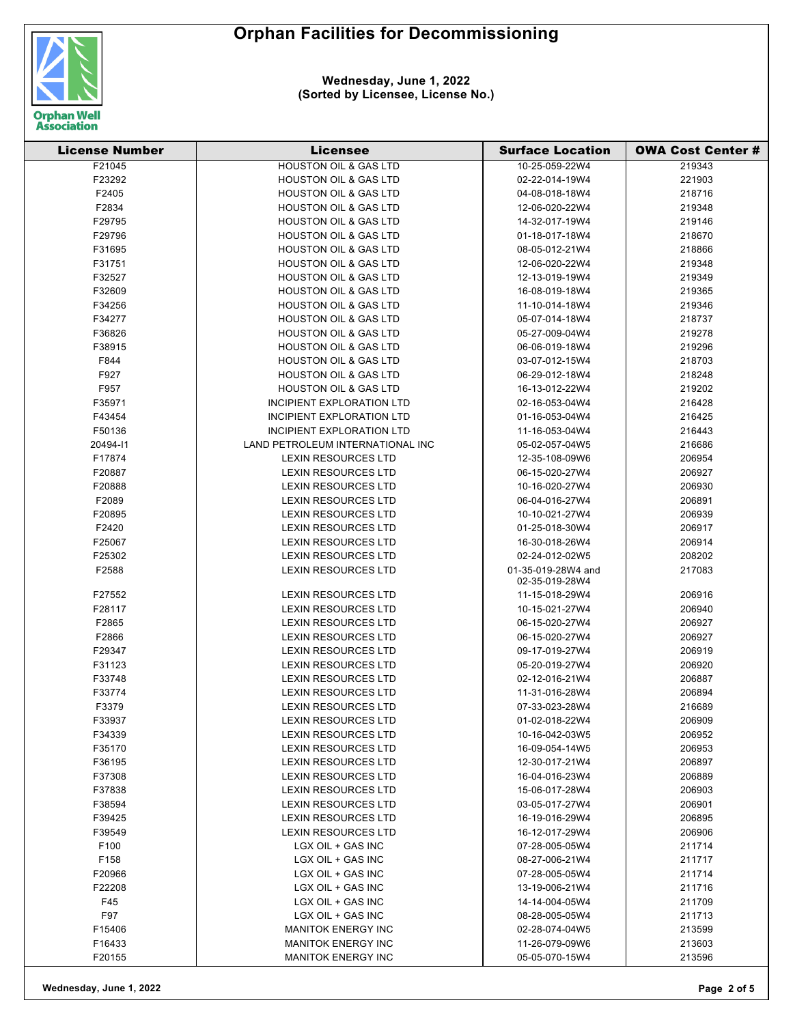



| <b>License Number</b> | <b>Licensee</b>                                 | <b>Surface Location</b>              | <b>OWA Cost Center #</b> |
|-----------------------|-------------------------------------------------|--------------------------------------|--------------------------|
| F21045                | <b>HOUSTON OIL &amp; GAS LTD</b>                | 10-25-059-22W4                       | 219343                   |
| F23292                | <b>HOUSTON OIL &amp; GAS LTD</b>                | 02-22-014-19W4                       | 221903                   |
| F2405                 | <b>HOUSTON OIL &amp; GAS LTD</b>                | 04-08-018-18W4                       | 218716                   |
| F2834                 | <b>HOUSTON OIL &amp; GAS LTD</b>                | 12-06-020-22W4                       | 219348                   |
| F29795                | <b>HOUSTON OIL &amp; GAS LTD</b>                | 14-32-017-19W4                       | 219146                   |
| F29796                | HOUSTON OIL & GAS LTD                           | 01-18-017-18W4                       | 218670                   |
| F31695                | <b>HOUSTON OIL &amp; GAS LTD</b>                | 08-05-012-21W4                       | 218866                   |
| F31751                | <b>HOUSTON OIL &amp; GAS LTD</b>                | 12-06-020-22W4                       | 219348                   |
| F32527                | <b>HOUSTON OIL &amp; GAS LTD</b>                | 12-13-019-19W4                       | 219349                   |
| F32609                | <b>HOUSTON OIL &amp; GAS LTD</b>                | 16-08-019-18W4                       | 219365                   |
| F34256                | <b>HOUSTON OIL &amp; GAS LTD</b>                | 11-10-014-18W4                       | 219346                   |
| F34277                | <b>HOUSTON OIL &amp; GAS LTD</b>                | 05-07-014-18W4                       | 218737                   |
| F36826                | <b>HOUSTON OIL &amp; GAS LTD</b>                | 05-27-009-04W4                       | 219278                   |
| F38915                | <b>HOUSTON OIL &amp; GAS LTD</b>                | 06-06-019-18W4                       | 219296                   |
| F844                  | <b>HOUSTON OIL &amp; GAS LTD</b>                | 03-07-012-15W4                       | 218703                   |
| F927                  | <b>HOUSTON OIL &amp; GAS LTD</b>                | 06-29-012-18W4                       | 218248                   |
| F957                  | <b>HOUSTON OIL &amp; GAS LTD</b>                | 16-13-012-22W4                       | 219202                   |
| F35971                | INCIPIENT EXPLORATION LTD                       | 02-16-053-04W4                       | 216428                   |
| F43454                | <b>INCIPIENT EXPLORATION LTD</b>                | 01-16-053-04W4                       | 216425                   |
| F50136                | <b>INCIPIENT EXPLORATION LTD</b>                | 11-16-053-04W4                       | 216443                   |
| 20494-11              | LAND PETROLEUM INTERNATIONAL INC                | 05-02-057-04W5                       | 216686                   |
| F17874                | <b>LEXIN RESOURCES LTD</b>                      | 12-35-108-09W6                       | 206954                   |
| F20887                | <b>LEXIN RESOURCES LTD</b>                      | 06-15-020-27W4                       | 206927                   |
| F20888                | <b>LEXIN RESOURCES LTD</b>                      | 10-16-020-27W4                       | 206930                   |
| F2089                 | <b>LEXIN RESOURCES LTD</b>                      | 06-04-016-27W4                       | 206891                   |
| F20895                | <b>LEXIN RESOURCES LTD</b>                      | 10-10-021-27W4                       | 206939                   |
| F2420                 | <b>LEXIN RESOURCES LTD</b>                      | 01-25-018-30W4                       | 206917                   |
| F25067                | <b>LEXIN RESOURCES LTD</b>                      | 16-30-018-26W4                       | 206914                   |
| F25302                | LEXIN RESOURCES LTD                             | 02-24-012-02W5                       | 208202                   |
| F2588                 | <b>LEXIN RESOURCES LTD</b>                      | 01-35-019-28W4 and<br>02-35-019-28W4 | 217083                   |
| F27552                | <b>LEXIN RESOURCES LTD</b>                      | 11-15-018-29W4                       | 206916                   |
| F28117                | <b>LEXIN RESOURCES LTD</b>                      | 10-15-021-27W4                       | 206940                   |
| F2865                 | LEXIN RESOURCES LTD                             | 06-15-020-27W4                       | 206927                   |
| F2866                 | <b>LEXIN RESOURCES LTD</b>                      | 06-15-020-27W4                       | 206927                   |
| F29347                | <b>LEXIN RESOURCES LTD</b>                      | 09-17-019-27W4                       | 206919                   |
| F31123                | <b>LEXIN RESOURCES LTD</b>                      | 05-20-019-27W4                       | 206920                   |
| F33748                | <b>LEXIN RESOURCES LTD</b>                      | 02-12-016-21W4                       | 206887                   |
| F33774                | <b>LEXIN RESOURCES LTD</b>                      | 11-31-016-28W4                       | 206894                   |
| F3379                 | <b>LEXIN RESOURCES LTD</b>                      | 07-33-023-28W4                       | 216689                   |
| F33937                | <b>LEXIN RESOURCES LTD</b>                      | 01-02-018-22W4                       | 206909                   |
| F34339                | LEXIN RESOURCES LTD                             | 10-16-042-03W5                       | 206952                   |
| F35170                | LEXIN RESOURCES LTD                             | 16-09-054-14W5                       | 206953                   |
| F36195                | <b>LEXIN RESOURCES LTD</b>                      | 12-30-017-21W4                       | 206897                   |
| F37308                | <b>LEXIN RESOURCES LTD</b>                      | 16-04-016-23W4                       | 206889                   |
| F37838                | <b>LEXIN RESOURCES LTD</b>                      | 15-06-017-28W4                       | 206903                   |
| F38594<br>F39425      | <b>LEXIN RESOURCES LTD</b>                      | 03-05-017-27W4                       | 206901                   |
|                       | <b>LEXIN RESOURCES LTD</b>                      | 16-19-016-29W4                       | 206895                   |
| F39549<br>F100        | <b>LEXIN RESOURCES LTD</b><br>LGX OIL + GAS INC | 16-12-017-29W4                       | 206906<br>211714         |
| F158                  | LGX OIL + GAS INC                               | 07-28-005-05W4                       | 211717                   |
| F20966                | LGX OIL + GAS INC                               | 08-27-006-21W4<br>07-28-005-05W4     | 211714                   |
| F22208                | LGX OIL + GAS INC                               | 13-19-006-21W4                       | 211716                   |
| F45                   | LGX OIL + GAS INC                               | 14-14-004-05W4                       | 211709                   |
| F97                   | LGX OIL + GAS INC                               | 08-28-005-05W4                       | 211713                   |
| F15406                | <b>MANITOK ENERGY INC</b>                       | 02-28-074-04W5                       | 213599                   |
| F16433                | <b>MANITOK ENERGY INC</b>                       | 11-26-079-09W6                       | 213603                   |
| F20155                | <b>MANITOK ENERGY INC</b>                       | 05-05-070-15W4                       | 213596                   |
|                       |                                                 |                                      |                          |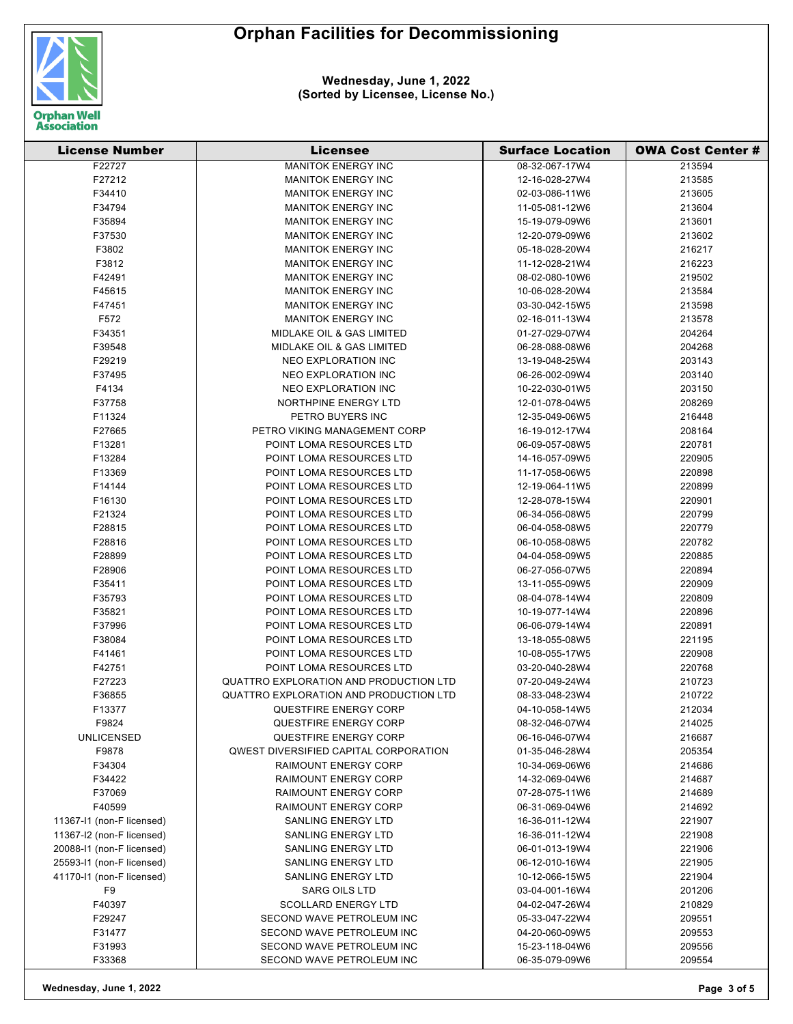



| <b>License Number</b>     | <b>Licensee</b>                              | <b>Surface Location</b> | <b>OWA Cost Center #</b> |
|---------------------------|----------------------------------------------|-------------------------|--------------------------|
| F22727                    | <b>MANITOK ENERGY INC</b>                    | 08-32-067-17W4          | 213594                   |
| F27212                    | <b>MANITOK ENERGY INC</b>                    | 12-16-028-27W4          | 213585                   |
| F34410                    | <b>MANITOK ENERGY INC</b>                    | 02-03-086-11W6          | 213605                   |
| F34794                    | <b>MANITOK ENERGY INC</b>                    | 11-05-081-12W6          | 213604                   |
| F35894                    | <b>MANITOK ENERGY INC</b>                    | 15-19-079-09W6          | 213601                   |
| F37530                    | <b>MANITOK ENERGY INC</b>                    | 12-20-079-09W6          | 213602                   |
| F3802                     | <b>MANITOK ENERGY INC</b>                    | 05-18-028-20W4          | 216217                   |
| F3812                     | <b>MANITOK ENERGY INC</b>                    | 11-12-028-21W4          | 216223                   |
| F42491                    | <b>MANITOK ENERGY INC</b>                    | 08-02-080-10W6          | 219502                   |
| F45615                    | <b>MANITOK ENERGY INC</b>                    | 10-06-028-20W4          | 213584                   |
| F47451                    | <b>MANITOK ENERGY INC</b>                    | 03-30-042-15W5          | 213598                   |
| F572                      | <b>MANITOK ENERGY INC</b>                    | 02-16-011-13W4          | 213578                   |
| F34351                    | MIDLAKE OIL & GAS LIMITED                    | 01-27-029-07W4          | 204264                   |
| F39548                    | MIDLAKE OIL & GAS LIMITED                    | 06-28-088-08W6          | 204268                   |
| F29219                    | NEO EXPLORATION INC                          | 13-19-048-25W4          | 203143                   |
| F37495                    | NEO EXPLORATION INC                          | 06-26-002-09W4          | 203140                   |
| F4134                     | NEO EXPLORATION INC                          | 10-22-030-01W5          | 203150                   |
| F37758                    | NORTHPINE ENERGY LTD                         | 12-01-078-04W5          | 208269                   |
| F11324                    | PETRO BUYERS INC                             | 12-35-049-06W5          | 216448                   |
| F27665                    | PETRO VIKING MANAGEMENT CORP                 | 16-19-012-17W4          | 208164                   |
| F13281                    | POINT LOMA RESOURCES LTD                     | 06-09-057-08W5          | 220781                   |
| F13284                    | POINT LOMA RESOURCES LTD                     | 14-16-057-09W5          | 220905                   |
| F13369                    | POINT LOMA RESOURCES LTD                     | 11-17-058-06W5          | 220898                   |
| F14144                    | POINT LOMA RESOURCES LTD                     | 12-19-064-11W5          | 220899                   |
| F16130                    | POINT LOMA RESOURCES LTD                     | 12-28-078-15W4          | 220901                   |
| F21324                    | POINT LOMA RESOURCES LTD                     | 06-34-056-08W5          | 220799                   |
| F28815                    | POINT LOMA RESOURCES LTD                     | 06-04-058-08W5          | 220779                   |
| F28816                    | POINT LOMA RESOURCES LTD                     | 06-10-058-08W5          | 220782                   |
| F28899                    | POINT LOMA RESOURCES LTD                     | 04-04-058-09W5          | 220885                   |
| F28906                    | POINT LOMA RESOURCES LTD                     | 06-27-056-07W5          | 220894                   |
| F35411                    | POINT LOMA RESOURCES LTD                     | 13-11-055-09W5          | 220909                   |
| F35793                    | POINT LOMA RESOURCES LTD                     | 08-04-078-14W4          | 220809                   |
| F35821                    | POINT LOMA RESOURCES LTD                     | 10-19-077-14W4          | 220896                   |
| F37996                    | POINT LOMA RESOURCES LTD                     | 06-06-079-14W4          | 220891                   |
| F38084                    | POINT LOMA RESOURCES LTD                     | 13-18-055-08W5          | 221195                   |
| F41461                    | POINT LOMA RESOURCES LTD                     | 10-08-055-17W5          | 220908                   |
| F42751                    | POINT LOMA RESOURCES LTD                     | 03-20-040-28W4          | 220768                   |
| F27223                    | QUATTRO EXPLORATION AND PRODUCTION LTD       | 07-20-049-24W4          | 210723                   |
| F36855                    | QUATTRO EXPLORATION AND PRODUCTION LTD       | 08-33-048-23W4          | 210722                   |
| F13377                    | QUESTFIRE ENERGY CORP                        | 04-10-058-14W5          | 212034                   |
| F9824                     | <b>QUESTFIRE ENERGY CORP</b>                 | 08-32-046-07W4          | 214025                   |
| <b>UNLICENSED</b>         | <b>QUESTFIRE ENERGY CORP</b>                 | 06-16-046-07W4          | 216687                   |
| F9878                     | <b>QWEST DIVERSIFIED CAPITAL CORPORATION</b> | 01-35-046-28W4          | 205354                   |
| F34304                    | <b>RAIMOUNT ENERGY CORP</b>                  | 10-34-069-06W6          | 214686                   |
| F34422                    | <b>RAIMOUNT ENERGY CORP</b>                  | 14-32-069-04W6          | 214687                   |
| F37069                    | <b>RAIMOUNT ENERGY CORP</b>                  | 07-28-075-11W6          | 214689                   |
| F40599                    | <b>RAIMOUNT ENERGY CORP</b>                  | 06-31-069-04W6          | 214692                   |
| 11367-11 (non-F licensed) | <b>SANLING ENERGY LTD</b>                    | 16-36-011-12W4          | 221907                   |
| 11367-I2 (non-F licensed) | <b>SANLING ENERGY LTD</b>                    | 16-36-011-12W4          | 221908                   |
| 20088-11 (non-F licensed) | <b>SANLING ENERGY LTD</b>                    | 06-01-013-19W4          | 221906                   |
| 25593-11 (non-F licensed) | <b>SANLING ENERGY LTD</b>                    | 06-12-010-16W4          | 221905                   |
| 41170-11 (non-F licensed) | <b>SANLING ENERGY LTD</b>                    | 10-12-066-15W5          | 221904                   |
| F9                        | <b>SARG OILS LTD</b>                         | 03-04-001-16W4          | 201206                   |
| F40397                    | <b>SCOLLARD ENERGY LTD</b>                   | 04-02-047-26W4          | 210829                   |
| F29247                    | SECOND WAVE PETROLEUM INC                    | 05-33-047-22W4          | 209551                   |
| F31477                    | SECOND WAVE PETROLEUM INC                    | 04-20-060-09W5          | 209553                   |
| F31993                    | SECOND WAVE PETROLEUM INC                    | 15-23-118-04W6          | 209556                   |
| F33368                    | SECOND WAVE PETROLEUM INC                    | 06-35-079-09W6          | 209554                   |

**Wednesday, June 1, 2022 Page 3 of 5**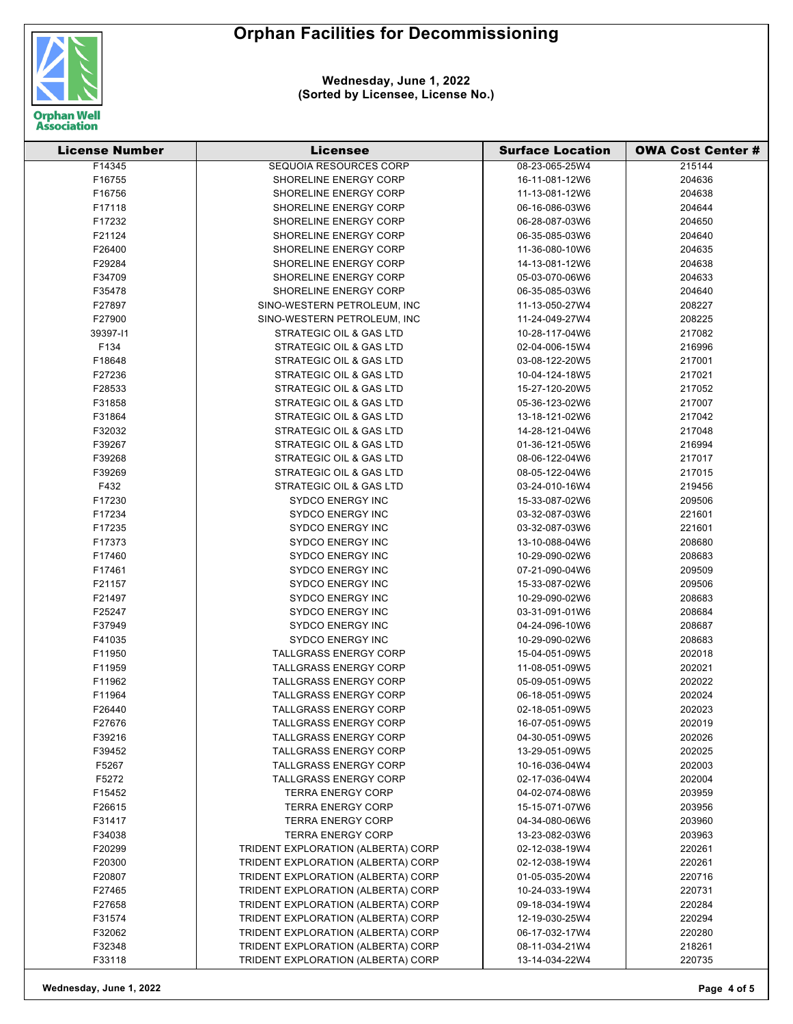## **Orphan Facilities for Decommissioning**



**Wednesday, June 1, 2022 (Sorted by Licensee, License No.)**

| <b>License Number</b> | <b>Licensee</b>                    | <b>Surface Location</b>          | <b>OWA Cost Center #</b> |
|-----------------------|------------------------------------|----------------------------------|--------------------------|
| F14345                | <b>SEQUOIA RESOURCES CORP</b>      | 08-23-065-25W4                   | 215144                   |
| F16755                | <b>SHORELINE ENERGY CORP</b>       | 16-11-081-12W6                   | 204636                   |
| F16756                | SHORELINE ENERGY CORP              | 11-13-081-12W6                   | 204638                   |
| F17118                | SHORELINE ENERGY CORP              | 06-16-086-03W6                   | 204644                   |
| F17232                | SHORELINE ENERGY CORP              | 06-28-087-03W6                   | 204650                   |
| F21124                | SHORELINE ENERGY CORP              | 06-35-085-03W6                   | 204640                   |
| F26400                | SHORELINE ENERGY CORP              | 11-36-080-10W6                   | 204635                   |
| F29284                | SHORELINE ENERGY CORP              | 14-13-081-12W6                   | 204638                   |
| F34709                | <b>SHORELINE ENERGY CORP</b>       | 05-03-070-06W6                   | 204633                   |
| F35478                | SHORELINE ENERGY CORP              | 06-35-085-03W6                   | 204640                   |
| F27897                | SINO-WESTERN PETROLEUM, INC        | 11-13-050-27W4                   | 208227                   |
| F27900                | SINO-WESTERN PETROLEUM, INC        | 11-24-049-27W4                   | 208225                   |
| 39397-11              | STRATEGIC OIL & GAS LTD            | 10-28-117-04W6                   | 217082                   |
| F134                  | STRATEGIC OIL & GAS LTD            | 02-04-006-15W4                   | 216996                   |
| F18648                | STRATEGIC OIL & GAS LTD            | 03-08-122-20W5                   | 217001                   |
| F27236                | STRATEGIC OIL & GAS LTD            | 10-04-124-18W5                   | 217021                   |
| F28533                | STRATEGIC OIL & GAS LTD            | 15-27-120-20W5                   | 217052                   |
| F31858                | STRATEGIC OIL & GAS LTD            | 05-36-123-02W6                   | 217007                   |
| F31864                | STRATEGIC OIL & GAS LTD            | 13-18-121-02W6                   | 217042                   |
| F32032                | STRATEGIC OIL & GAS LTD            | 14-28-121-04W6                   | 217048                   |
| F39267                | STRATEGIC OIL & GAS LTD            | 01-36-121-05W6                   | 216994                   |
| F39268                | STRATEGIC OIL & GAS LTD            | 08-06-122-04W6                   | 217017                   |
| F39269                | <b>STRATEGIC OIL &amp; GAS LTD</b> | 08-05-122-04W6                   | 217015                   |
| F432                  | STRATEGIC OIL & GAS LTD            | 03-24-010-16W4                   | 219456                   |
| F17230                | <b>SYDCO ENERGY INC</b>            | 15-33-087-02W6                   | 209506                   |
| F17234                | <b>SYDCO ENERGY INC</b>            | 03-32-087-03W6                   | 221601                   |
| F17235                | <b>SYDCO ENERGY INC</b>            | 03-32-087-03W6                   | 221601                   |
| F17373                | SYDCO ENERGY INC                   | 13-10-088-04W6                   | 208680                   |
| F17460                | <b>SYDCO ENERGY INC</b>            | 10-29-090-02W6                   | 208683                   |
| F17461                | <b>SYDCO ENERGY INC</b>            | 07-21-090-04W6                   | 209509                   |
| F21157                | <b>SYDCO ENERGY INC</b>            | 15-33-087-02W6                   | 209506                   |
| F21497                | SYDCO ENERGY INC                   | 10-29-090-02W6                   | 208683                   |
| F25247                | <b>SYDCO ENERGY INC</b>            | 03-31-091-01W6                   | 208684                   |
| F37949                | <b>SYDCO ENERGY INC</b>            | 04-24-096-10W6                   | 208687                   |
| F41035                | <b>SYDCO ENERGY INC</b>            | 10-29-090-02W6                   | 208683                   |
| F11950                | <b>TALLGRASS ENERGY CORP</b>       | 15-04-051-09W5                   | 202018                   |
| F11959                | <b>TALLGRASS ENERGY CORP</b>       | 11-08-051-09W5                   | 202021                   |
| F11962                | <b>TALLGRASS ENERGY CORP</b>       | 05-09-051-09W5                   | 202022                   |
| F11964                | <b>TALLGRASS ENERGY CORP</b>       | 06-18-051-09W5                   | 202024                   |
| F26440                | <b>TALLGRASS ENERGY CORP</b>       | 02-18-051-09W5                   | 202023                   |
| F27676                | <b>TALLGRASS ENERGY CORP</b>       | 16-07-051-09W5                   | 202019                   |
| F39216                | TALLGRASS ENERGY CORP              | 04-30-051-09W5                   | 202026                   |
| F39452                | TALLGRASS ENERGY CORP              | 13-29-051-09W5                   | 202025                   |
| F5267                 | TALLGRASS ENERGY CORP              | 10-16-036-04W4                   | 202003                   |
| F5272                 | <b>TALLGRASS ENERGY CORP</b>       | 02-17-036-04W4                   | 202004                   |
| F15452                | <b>TERRA ENERGY CORP</b>           | 04-02-074-08W6                   | 203959                   |
|                       | <b>TERRA ENERGY CORP</b>           | 15-15-071-07W6                   | 203956                   |
| F26615<br>F31417      | <b>TERRA ENERGY CORP</b>           | 04-34-080-06W6                   | 203960                   |
|                       | <b>TERRA ENERGY CORP</b>           |                                  | 203963                   |
| F34038<br>F20299      | TRIDENT EXPLORATION (ALBERTA) CORP | 13-23-082-03W6<br>02-12-038-19W4 | 220261                   |
|                       | TRIDENT EXPLORATION (ALBERTA) CORP |                                  | 220261                   |
| F20300                |                                    | 02-12-038-19W4                   |                          |
| F20807                | TRIDENT EXPLORATION (ALBERTA) CORP | 01-05-035-20W4                   | 220716                   |
| F27465                | TRIDENT EXPLORATION (ALBERTA) CORP | 10-24-033-19W4                   | 220731                   |
| F27658                | TRIDENT EXPLORATION (ALBERTA) CORP | 09-18-034-19W4                   | 220284                   |
| F31574                | TRIDENT EXPLORATION (ALBERTA) CORP | 12-19-030-25W4                   | 220294                   |
| F32062                | TRIDENT EXPLORATION (ALBERTA) CORP | 06-17-032-17W4                   | 220280                   |
| F32348                | TRIDENT EXPLORATION (ALBERTA) CORP | 08-11-034-21W4                   | 218261                   |
| F33118                | TRIDENT EXPLORATION (ALBERTA) CORP | 13-14-034-22W4                   | 220735                   |

**Wednesday, June 1, 2022 Page 4 of 5**